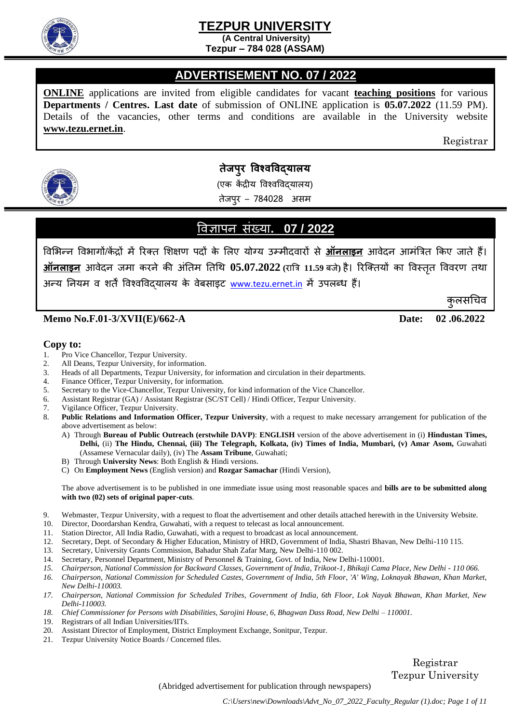

**(A Central University) Tezpur – 784 028 (ASSAM)** 

#### í **ADVERTISEMENT NO. 07 / 2022**

**ONLINE** applications are invited from eligible candidates for vacant **teaching positions** for various **Departments / Centres. Last date** of submission of ONLINE application is **05.07.2022** (11.59 PM). Details of the vacancies, other terms and conditions are available in the University website **[www.tezu.ernet.in](http://www.tezu.ernet.in/)**.

Registrar

कुलसचिव



# **तेजपुर विश्िविद्यालय**

(एक कें द्रीय विश्िविद्यालय)

तेजपुर – 784028 असम

## विज्ञापन संख्या**. 07 / 2022**

विभिन्न वििागों/कें द्रों में ररक्त भिक्षण पदों के भलए योग्य उम्मीदिारों से **ऑनलाइन** आिेदन आमंत्रित ककए जाते हैं। **ऑनलाइन** आिेदन जमा करने की अंततम ततथि **05.07.2022 (**रात्रि **11.59** बजे**)** है। ररक्क्तयों का विस्ततृ वििरण तिा अन्य नियम व शर्तें विश्वविदयालय के वेबसाइट [www.tezu.ernet.in](http://www.tezu.ernet.in/) में उपलब्ध हैं।

**Memo No.F.01-3/XVII(E)/662-A Date: 02 .06.2022**

**Copy to:**

- 1. Pro Vice Chancellor, Tezpur University.
- 2. All Deans, Tezpur University, for information.
- 3. Heads of all Departments, Tezpur University, for information and circulation in their departments.
- 4. Finance Officer, Tezpur University, for information.
- 5. Secretary to the Vice-Chancellor, Tezpur University, for kind information of the Vice Chancellor.
- 6. Assistant Registrar (GA) / Assistant Registrar (SC/ST Cell) / Hindi Officer, Tezpur University.
- 7. Vigilance Officer, Tezpur University.
- 8. **Public Relations and Information Officer, Tezpur University**, with a request to make necessary arrangement for publication of the above advertisement as below:
	- A) Through **Bureau of Public Outreach (erstwhile DAVP)**: **ENGLISH** version of the above advertisement in (i) **Hindustan Times, Delhi,** (ii) **The Hindu, Chennai, (iii) The Telegraph, Kolkata, (iv) Times of India, Mumbari, (v) Amar Asom,** Guwahati (Assamese Vernacular daily), (iv) The **Assam Tribune**, Guwahati;
	- B) Through **University News**: Both English & Hindi versions.
	- C) On **Employment News** (English version) and **Rozgar Samachar** (Hindi Version),

The above advertisement is to be published in one immediate issue using most reasonable spaces and **bills are to be submitted along with two (02) sets of original paper-cuts**.

- 9. Webmaster, Tezpur University, with a request to float the advertisement and other details attached herewith in the University Website.
- 10. Director, Doordarshan Kendra, Guwahati, with a request to telecast as local announcement.
- 11. Station Director, All India Radio, Guwahati, with a request to broadcast as local announcement.
- 12. Secretary, Dept. of Secondary & Higher Education, Ministry of HRD, Government of India, Shastri Bhavan, New Delhi-110 115.
- 13. Secretary, University Grants Commission, Bahadur Shah Zafar Marg, New Delhi-110 002.
- 14. Secretary, Personnel Department, Ministry of Personnel & Training, Govt. of India, New Delhi-110001.
- *15. Chairperson, National Commission for Backward Classes, Government of India, Trikoot-1, Bhikaji Cama Place, New Delhi - 110 066.*
- *16. Chairperson, National Commission for Scheduled Castes, Government of India, 5th Floor, 'A' Wing, Loknayak Bhawan, Khan Market, New Delhi-110003.*
- *17. Chairperson, National Commission for Scheduled Tribes, Government of India, 6th Floor, Lok Nayak Bhawan, Khan Market, New Delhi-110003.*
- *18. Chief Commissioner for Persons with Disabilities, Sarojini House, 6, Bhagwan Dass Road, New Delhi – 110001.*
- 19. Registrars of all Indian Universities/IITs.
- 20. Assistant Director of Employment, District Employment Exchange, Sonitpur, Tezpur.
- 21. Tezpur University Notice Boards / Concerned files.

Registrar Tezpur University

(Abridged advertisement for publication through newspapers)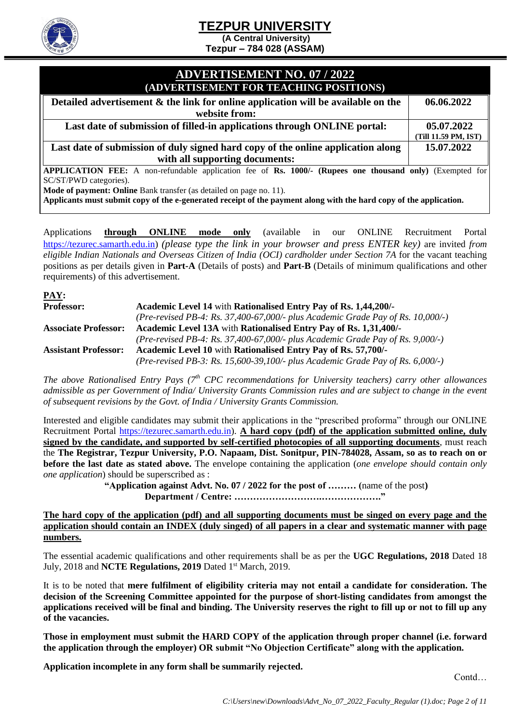**(A Central University)** 

**Tezpur – 784 028 (ASSAM)** 

#### **ADVERTISEMENT NO. 07 / 2022 (ADVERTISEMENT FOR TEACHING POSITIONS)**

| <u>ADVENTISEMENT FON TEACHING FOSITIONS!</u>                                      |                      |
|-----------------------------------------------------------------------------------|----------------------|
| Detailed advertisement & the link for online application will be available on the | 06.06.2022           |
| website from:                                                                     |                      |
| Last date of submission of filled-in applications through ONLINE portal:          | 05.07.2022           |
|                                                                                   | (Till 11.59 PM, IST) |
| Last date of submission of duly signed hard copy of the online application along  | 15.07.2022           |
| with all supporting documents:                                                    |                      |

**APPLICATION FEE:** A non-refundable application fee of **Rs. 1000/- (Rupees one thousand only)** (Exempted for SC/ST/PWD categories).

**Mode of payment: Online** Bank transfer (as detailed on page no. 11).

**Applicants must submit copy of the e-generated receipt of the payment along with the hard copy of the application.**

Applications **through ONLINE mode only** (available in our ONLINE Recruitment Portal [https://tezurec.samarth.edu.in\)](https://tezurec.samarth.edu.in/) *(please type the link in your browser and press ENTER key)* are invited *from eligible Indian Nationals and Overseas Citizen of India (OCI) cardholder under Section 7A* for the vacant teaching positions as per details given in **Part-A** (Details of posts) and **Part-B** (Details of minimum qualifications and other requirements) of this advertisement.

| PAY:                        |                                                                                 |
|-----------------------------|---------------------------------------------------------------------------------|
| Professor:                  | Academic Level 14 with Rationalised Entry Pay of Rs. 1,44,200/-                 |
|                             | (Pre-revised PB-4: Rs. 37,400-67,000/- plus Academic Grade Pay of Rs. 10,000/-) |
| <b>Associate Professor:</b> | Academic Level 13A with Rationalised Entry Pay of Rs. 1,31,400/-                |
|                             | (Pre-revised PB-4: Rs. 37,400-67,000/- plus Academic Grade Pay of Rs. 9,000/-)  |
| <b>Assistant Professor:</b> | Academic Level 10 with Rationalised Entry Pay of Rs. 57,700/-                   |
|                             | (Pre-revised PB-3: Rs. 15,600-39,100/- plus Academic Grade Pay of Rs. 6,000/-)  |

*The above Rationalised Entry Pays (7th CPC recommendations for University teachers) carry other allowances admissible as per Government of India/ University Grants Commission rules and are subject to change in the event of subsequent revisions by the Govt. of India / University Grants Commission.* 

Interested and eligible candidates may submit their applications in the "prescribed proforma" through our ONLINE Recruitment Portal [https://tezurec.samarth.edu.in\)](https://tezurec.samarth.edu.in/). **A hard copy (pdf) of the application submitted online, duly signed by the candidate, and supported by self-certified photocopies of all supporting documents**, must reach the **The Registrar, Tezpur University, P.O. Napaam, Dist. Sonitpur, PIN-784028, Assam, so as to reach on or before the last date as stated above.** The envelope containing the application (*one envelope should contain only one application*) should be superscribed as :

**"Application against Advt. No. 07 / 2022 for the post of ……… (**name of the post**) Department / Centre: ……………………….………………."**

**The hard copy of the application (pdf) and all supporting documents must be singed on every page and the application should contain an INDEX (duly singed) of all papers in a clear and systematic manner with page numbers.**

The essential academic qualifications and other requirements shall be as per the **UGC Regulations, 2018** Dated 18 July, 2018 and **NCTE Regulations, 2019** Dated 1st March, 2019.

It is to be noted that **mere fulfilment of eligibility criteria may not entail a candidate for consideration. The decision of the Screening Committee appointed for the purpose of short-listing candidates from amongst the applications received will be final and binding. The University reserves the right to fill up or not to fill up any of the vacancies.** 

**Those in employment must submit the HARD COPY of the application through proper channel (i.e. forward the application through the employer) OR submit "No Objection Certificate" along with the application.** 

**Application incomplete in any form shall be summarily rejected.**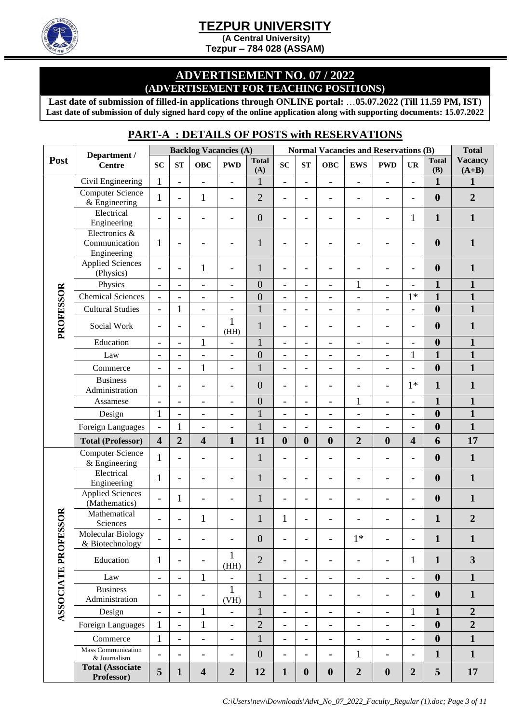

**(A Central University)** 

**Tezpur – 784 028 (ASSAM)** 

#### **ADVERTISEMENT NO. 07 / 2022 (ADVERTISEMENT FOR TEACHING POSITIONS)**

**Last date of submission of filled-in applications through ONLINE portal:** …**05.07.2022 (Till 11.59 PM, IST) Last date of submission of duly signed hard copy of the online application along with supporting documents: 15.07.2022**

### **PART-A : DETAILS OF POSTS with RESERVATIONS**

|                            | Department /                                  | <b>Backlog Vacancies (A)</b> |                          |                          | <b>Normal Vacancies and Reservations (B)</b> |                     |                          |                          |                          |                              | <b>Total</b>             |                          |                     |                           |
|----------------------------|-----------------------------------------------|------------------------------|--------------------------|--------------------------|----------------------------------------------|---------------------|--------------------------|--------------------------|--------------------------|------------------------------|--------------------------|--------------------------|---------------------|---------------------------|
| Post                       | <b>Centre</b>                                 | <b>SC</b>                    | ST                       | <b>OBC</b>               | <b>PWD</b>                                   | <b>Total</b><br>(A) | SC                       | ST                       | <b>OBC</b>               | <b>EWS</b>                   | <b>PWD</b>               | <b>UR</b>                | <b>Total</b><br>(B) | <b>Vacancy</b><br>$(A+B)$ |
|                            | Civil Engineering                             | $\mathbf{1}$                 | $\overline{\phantom{0}}$ | $\overline{\phantom{0}}$ | $\overline{\phantom{0}}$                     | $\mathbf{1}$        | $\overline{\phantom{0}}$ | $\overline{\phantom{a}}$ | $\overline{\phantom{0}}$ | $\overline{\phantom{0}}$     | $\overline{\phantom{a}}$ | $\overline{\phantom{a}}$ | $\mathbf{1}$        | $\mathbf{1}$              |
|                            | <b>Computer Science</b><br>$&$ Engineering    | 1                            | $\overline{\phantom{0}}$ | $\mathbf{1}$             | $\overline{\phantom{0}}$                     | $\overline{2}$      | $\overline{\phantom{a}}$ | -                        | $\overline{\phantom{a}}$ | $\qquad \qquad -$            | $\overline{\phantom{a}}$ | $\overline{a}$           | $\boldsymbol{0}$    | $\overline{2}$            |
|                            | Electrical<br>Engineering                     | $\overline{\phantom{0}}$     | $\overline{\phantom{0}}$ | $\overline{\phantom{0}}$ | $\qquad \qquad -$                            | $\mathbf{0}$        | $\overline{\phantom{a}}$ | $\overline{a}$           | $\overline{\phantom{a}}$ | -                            | $\overline{\phantom{a}}$ | 1                        | $\mathbf{1}$        | $\mathbf{1}$              |
|                            | Electronics &<br>Communication<br>Engineering | 1                            | $\overline{\phantom{0}}$ |                          | $\overline{\phantom{0}}$                     | $\mathbf{1}$        | $\overline{\phantom{0}}$ | -                        | -                        |                              |                          | $\overline{\phantom{0}}$ | $\boldsymbol{0}$    | $\mathbf{1}$              |
|                            | <b>Applied Sciences</b><br>(Physics)          | $\overline{a}$               | $\overline{\phantom{0}}$ | $\mathbf{1}$             | $\overline{a}$                               | $\mathbf{1}$        | $\overline{a}$           | $\overline{a}$           | $\overline{a}$           |                              |                          | $\overline{\phantom{a}}$ | $\boldsymbol{0}$    | $\mathbf{1}$              |
|                            | Physics                                       | $\overline{\phantom{0}}$     | $\overline{\phantom{a}}$ | $\overline{\phantom{0}}$ | $\overline{\phantom{0}}$                     | $\boldsymbol{0}$    | $\qquad \qquad -$        | $\overline{\phantom{a}}$ | $\overline{\phantom{a}}$ | $\mathbf{1}$                 | $\qquad \qquad -$        | $\overline{\phantom{0}}$ | $\mathbf{1}$        | $\mathbf{1}$              |
|                            | <b>Chemical Sciences</b>                      | $\overline{a}$               | $\overline{\phantom{0}}$ | $\overline{a}$           | $\overline{a}$                               | $\overline{0}$      | $\overline{\phantom{0}}$ | $\overline{\phantom{a}}$ | $\overline{\phantom{a}}$ | $\overline{a}$               | $\blacksquare$           | $1*$                     | $\mathbf{1}$        | $\mathbf{1}$              |
|                            | <b>Cultural Studies</b>                       | $\overline{a}$               | $\mathbf{1}$             | $\overline{a}$           | $\overline{a}$                               | $\mathbf{1}$        | $\overline{\phantom{0}}$ | $\overline{\phantom{0}}$ | $\overline{\phantom{0}}$ | $\overline{\phantom{0}}$     | $\overline{\phantom{0}}$ | $\overline{a}$           | $\boldsymbol{0}$    | $\overline{\mathbf{1}}$   |
| PROFESSOR                  | Social Work                                   | $\overline{a}$               | $\overline{\phantom{0}}$ |                          | $\mathbf{1}$<br>(HH)                         | $\mathbf{1}$        | $\overline{\phantom{0}}$ | $\overline{a}$           | -                        | $\overline{\phantom{0}}$     |                          | $\overline{\phantom{0}}$ | $\boldsymbol{0}$    | $\mathbf{1}$              |
|                            | Education                                     | $\overline{a}$               | $\overline{\phantom{0}}$ | $\mathbf{1}$             | $\overline{\phantom{0}}$                     | $\mathbf{1}$        | $\overline{\phantom{a}}$ | $\overline{\phantom{a}}$ | $\overline{\phantom{a}}$ | $\overline{\phantom{0}}$     | $\overline{\phantom{a}}$ | $\overline{\phantom{a}}$ | $\boldsymbol{0}$    | $\mathbf{1}$              |
|                            | Law                                           | $\overline{a}$               | $\overline{\phantom{0}}$ | $\overline{a}$           | $\overline{a}$                               | $\overline{0}$      | $\overline{a}$           | $\overline{\phantom{a}}$ | $\blacksquare$           | $\overline{\phantom{a}}$     | $\blacksquare$           | $\mathbf{1}$             | $\mathbf{1}$        | $\overline{\mathbf{1}}$   |
|                            | Commerce                                      | $\overline{a}$               | $\overline{\phantom{0}}$ | $\mathbf{1}$             | $\overline{a}$                               | $\mathbf{1}$        | $\overline{\phantom{0}}$ | $\overline{\phantom{a}}$ | $\overline{\phantom{a}}$ | $\overline{\phantom{0}}$     | $\overline{\phantom{a}}$ | $\overline{\phantom{0}}$ | $\boldsymbol{0}$    | $\mathbf{1}$              |
|                            | <b>Business</b><br>Administration             | $\overline{a}$               | $\overline{a}$           | $\overline{\phantom{0}}$ | $\overline{\phantom{0}}$                     | $\boldsymbol{0}$    | $\overline{\phantom{a}}$ | $\overline{a}$           | $\overline{\phantom{a}}$ | $\overline{\phantom{0}}$     | $\overline{\phantom{a}}$ | $1*$                     | $\mathbf{1}$        | $\mathbf{1}$              |
|                            | Assamese                                      | $\overline{a}$               | $\overline{\phantom{0}}$ | $\overline{\phantom{0}}$ | $\overline{\phantom{0}}$                     | $\overline{0}$      | $\overline{\phantom{0}}$ | $\overline{\phantom{a}}$ | $\blacksquare$           | $\mathbf 1$                  | $\overline{\phantom{a}}$ | $\overline{\phantom{a}}$ | $\mathbf{1}$        | $\mathbf{1}$              |
|                            | Design                                        | $\mathbf{1}$                 | $\qquad \qquad -$        | $\overline{\phantom{a}}$ | $\overline{\phantom{0}}$                     | $\mathbf{1}$        | $\qquad \qquad -$        | $\overline{\phantom{a}}$ | $\overline{\phantom{a}}$ | $\overline{\phantom{0}}$     | $\overline{\phantom{a}}$ | $\overline{\phantom{a}}$ | $\boldsymbol{0}$    | $\mathbf{1}$              |
|                            | Foreign Languages                             | $\overline{a}$               | $\mathbf{1}$             | $\overline{a}$           | $\overline{a}$                               | $\mathbf{1}$        | $\overline{a}$           |                          | $\overline{a}$           | $\overline{\phantom{0}}$     | $\blacksquare$           | $\overline{\phantom{a}}$ | $\boldsymbol{0}$    | $\mathbf{1}$              |
|                            | <b>Total (Professor)</b>                      | $\overline{\mathbf{4}}$      | $\overline{2}$           | $\overline{\mathbf{4}}$  | $\mathbf{1}$                                 | 11                  | $\boldsymbol{0}$         | $\boldsymbol{0}$         | $\boldsymbol{0}$         | $\overline{2}$               | $\boldsymbol{0}$         | $\overline{\mathbf{4}}$  | 6                   | 17                        |
|                            | Computer Science<br>$&$ Engineering           | $\mathbf{1}$                 | $\overline{a}$           | $\overline{a}$           | $\overline{\phantom{0}}$                     | $\mathbf{1}$        | $\overline{\phantom{0}}$ | $\overline{a}$           | $\overline{\phantom{a}}$ | $\qquad \qquad -$            | $\overline{\phantom{0}}$ | $\overline{\phantom{0}}$ | $\boldsymbol{0}$    | $\mathbf{1}$              |
|                            | Electrical<br>Engineering                     | $\mathbf{1}$                 | $\overline{a}$           | $\overline{\phantom{0}}$ | $\overline{\phantom{0}}$                     | $\mathbf{1}$        | $\overline{\phantom{a}}$ | $\overline{a}$           | -                        | $\overline{\phantom{0}}$     | $\overline{\phantom{0}}$ |                          | $\boldsymbol{0}$    | $\mathbf{1}$              |
|                            | <b>Applied Sciences</b><br>(Mathematics)      | $\overline{\phantom{0}}$     | $\mathbf{1}$             | $\qquad \qquad -$        | $\overline{a}$                               | $\mathbf{1}$        | $\overline{\phantom{0}}$ | -                        | $\overline{\phantom{0}}$ | $\overline{a}$               | $\overline{\phantom{0}}$ | $\overline{\phantom{a}}$ | $\boldsymbol{0}$    | $\mathbf{1}$              |
|                            | Mathematical<br>Sciences                      | $\overline{a}$               | $\overline{a}$           | 1                        |                                              | $\mathbf{1}$        | 1                        | $\overline{\phantom{0}}$ | $\overline{a}$           |                              |                          |                          | $\mathbf{1}$        | $\overline{2}$            |
|                            | <b>Molecular Biology</b><br>& Biotechnology   |                              |                          |                          |                                              | $\boldsymbol{0}$    |                          | $\overline{\phantom{0}}$ | $\overline{\phantom{0}}$ | $1*$                         |                          |                          | $\mathbf{1}$        | $\mathbf{1}$              |
|                            | Education<br>$\mathbf{1}$                     |                              | $\overline{\phantom{a}}$ |                          | $\mathbf{1}$<br>(HH)                         | $\overline{2}$      | $\overline{a}$           | $\overline{a}$           | $\overline{\phantom{a}}$ | $\overline{\phantom{0}}$     | $\overline{\phantom{0}}$ | $\mathbf{1}$             | $\mathbf{1}$        | $\overline{\mathbf{3}}$   |
|                            | Law                                           | $\overline{\phantom{0}}$     | $\overline{\phantom{0}}$ | $\mathbf{1}$             | $\overline{a}$                               | $\mathbf{1}$        | $\overline{\phantom{0}}$ | $\overline{\phantom{a}}$ | $\overline{\phantom{a}}$ | $\overline{\phantom{a}}$     | $\overline{\phantom{0}}$ | $\overline{\phantom{a}}$ | $\boldsymbol{0}$    | $\mathbf{1}$              |
| <b>ASSOCIATE PROFESSOR</b> | <b>Business</b><br>Administration             | $\overline{\phantom{0}}$     | $\overline{a}$           | $\qquad \qquad -$        | 1<br>(VH)                                    | $\mathbf{1}$        | $\overline{\phantom{0}}$ | $\overline{\phantom{0}}$ | $\overline{\phantom{a}}$ | $\qquad \qquad -$            | $\overline{\phantom{a}}$ | $\overline{\phantom{a}}$ | $\boldsymbol{0}$    | $\mathbf{1}$              |
|                            | Design                                        | $\overline{\phantom{0}}$     | $\overline{\phantom{0}}$ | $\mathbf{1}$             | $\qquad \qquad -$                            | $\mathbf{1}$        | $\overline{\phantom{a}}$ | $\overline{\phantom{a}}$ | $\overline{\phantom{a}}$ | $\qquad \qquad -$            | $\overline{\phantom{a}}$ | $\mathbf{1}$             | $\mathbf{1}$        | $\overline{2}$            |
|                            | Foreign Languages                             | $\mathbf{1}$                 | $\overline{\phantom{0}}$ | $\mathbf{1}$             | $\overline{\phantom{0}}$                     | $\overline{2}$      | $\overline{\phantom{0}}$ | $\overline{\phantom{a}}$ | $\overline{\phantom{a}}$ | $\qquad \qquad \blacksquare$ | $\overline{\phantom{a}}$ | $\overline{\phantom{a}}$ | $\boldsymbol{0}$    | $\overline{2}$            |
|                            | Commerce                                      | $\mathbf 1$                  | $\overline{\phantom{a}}$ | $\overline{\phantom{0}}$ | $\overline{\phantom{a}}$                     | $\mathbf{1}$        | $\overline{\phantom{0}}$ | $\qquad \qquad -$        | $\overline{\phantom{a}}$ | $\qquad \qquad -$            | $\overline{\phantom{a}}$ | $\overline{\phantom{a}}$ | $\boldsymbol{0}$    | $\mathbf{1}$              |
|                            | <b>Mass Communication</b><br>& Journalism     | $\overline{a}$               | $\overline{\phantom{a}}$ | $\overline{\phantom{0}}$ | $\overline{\phantom{0}}$                     | $\boldsymbol{0}$    | $\overline{\phantom{0}}$ | $\overline{a}$           | $\overline{\phantom{a}}$ | $\mathbf{1}$                 | $\overline{\phantom{a}}$ | $\overline{\phantom{a}}$ | $\mathbf{1}$        | $\mathbf{1}$              |
|                            | <b>Total (Associate</b><br>Professor)         | 5                            | $\mathbf{1}$             | $\overline{\mathbf{4}}$  | $\boldsymbol{2}$                             | 12                  | $\mathbf{1}$             | $\boldsymbol{0}$         | $\boldsymbol{0}$         | $\boldsymbol{2}$             | $\boldsymbol{0}$         | $\overline{2}$           | 5                   | 17                        |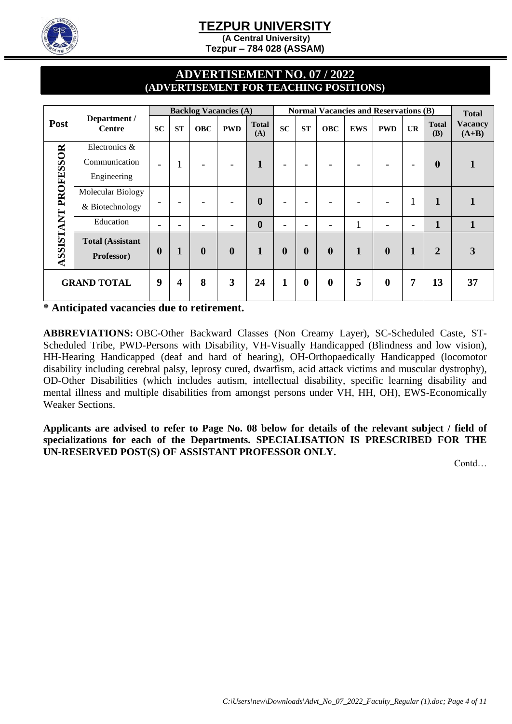

**(A Central University)** 

**Tezpur – 784 028 (ASSAM)** 

### **ADVERTISEMENT NO. 07 / 2022 (ADVERTISEMENT FOR TEACHING POSITIONS)**

|                    |                                               |                          |                          |                          | <b>Backlog Vacancies (A)</b> |                     |                  |                          |                          |            | <b>Normal Vacancies and Reservations (B)</b> |           |                            | <b>Total</b>              |
|--------------------|-----------------------------------------------|--------------------------|--------------------------|--------------------------|------------------------------|---------------------|------------------|--------------------------|--------------------------|------------|----------------------------------------------|-----------|----------------------------|---------------------------|
| Post               | Department /<br><b>Centre</b>                 | <b>SC</b>                | <b>ST</b>                | <b>OBC</b>               | <b>PWD</b>                   | <b>Total</b><br>(A) | SC               | ST                       | <b>OBC</b>               | <b>EWS</b> | <b>PWD</b>                                   | <b>UR</b> | <b>Total</b><br><b>(B)</b> | <b>Vacancy</b><br>$(A+B)$ |
| PROFESSOR          | Electronics &<br>Communication<br>Engineering | $\overline{\phantom{a}}$ | -1                       | $\overline{\phantom{a}}$ |                              | 1                   | -                | $\overline{\phantom{a}}$ | $\overline{\phantom{0}}$ |            |                                              |           | $\boldsymbol{0}$           |                           |
|                    | Molecular Biology<br>& Biotechnology          | $\overline{\phantom{0}}$ | $\overline{\phantom{a}}$ |                          |                              | $\boldsymbol{0}$    | -                | $\overline{\phantom{0}}$ |                          |            |                                              | -1        | 1                          |                           |
|                    | Education                                     |                          |                          |                          |                              | $\boldsymbol{0}$    |                  |                          |                          |            |                                              |           | $\mathbf{1}$               | 1                         |
| ASSISTANT          | <b>Total (Assistant</b><br>Professor)         | $\boldsymbol{0}$         | 1                        | $\boldsymbol{0}$         | $\boldsymbol{0}$             | 1                   | $\boldsymbol{0}$ | $\boldsymbol{0}$         | $\boldsymbol{0}$         | 1          | $\mathbf{0}$                                 | 1         | $\overline{2}$             | 3                         |
| <b>GRAND TOTAL</b> |                                               | 9                        | 4                        | 8                        | 3                            | 24                  |                  | $\boldsymbol{0}$         | $\boldsymbol{0}$         | 5          | $\bf{0}$                                     | 7         | 13                         | 37                        |

**\* Anticipated vacancies due to retirement.** 

**ABBREVIATIONS:** OBC-Other Backward Classes (Non Creamy Layer), SC-Scheduled Caste, ST-Scheduled Tribe, PWD-Persons with Disability, VH-Visually Handicapped (Blindness and low vision), HH-Hearing Handicapped (deaf and hard of hearing), OH-Orthopaedically Handicapped (locomotor disability including cerebral palsy, leprosy cured, dwarfism, acid attack victims and muscular dystrophy), OD-Other Disabilities (which includes autism, intellectual disability, specific learning disability and mental illness and multiple disabilities from amongst persons under VH, HH, OH), EWS-Economically Weaker Sections.

**Applicants are advised to refer to Page No. 08 below for details of the relevant subject / field of specializations for each of the Departments. SPECIALISATION IS PRESCRIBED FOR THE UN-RESERVED POST(S) OF ASSISTANT PROFESSOR ONLY.**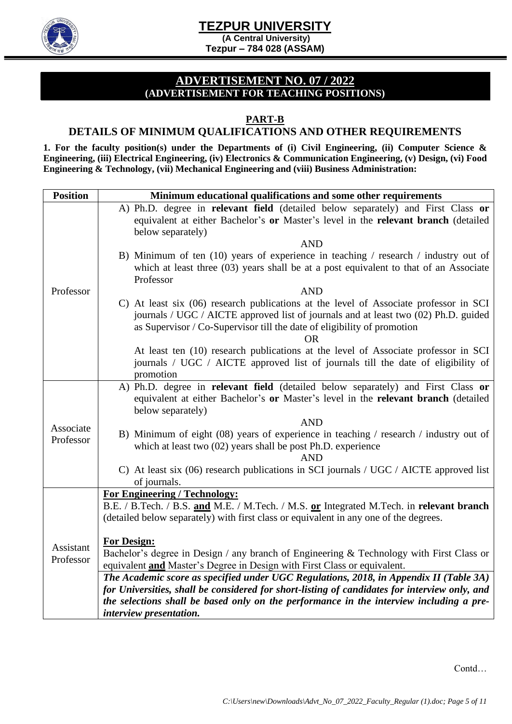



**(A Central University) Tezpur – 784 028 (ASSAM)** 

### **ADVERTISEMENT NO. 07 / 2022 (ADVERTISEMENT FOR TEACHING POSITIONS)**

#### **PART-B**

#### **DETAILS OF MINIMUM QUALIFICATIONS AND OTHER REQUIREMENTS**

**1. For the faculty position(s) under the Departments of (i) Civil Engineering, (ii) Computer Science & Engineering, (iii) Electrical Engineering, (iv) Electronics & Communication Engineering, (v) Design, (vi) Food Engineering & Technology, (vii) Mechanical Engineering and (viii) Business Administration:**

| <b>Position</b> | Minimum educational qualifications and some other requirements                                                                                                                                                                                                       |
|-----------------|----------------------------------------------------------------------------------------------------------------------------------------------------------------------------------------------------------------------------------------------------------------------|
|                 | A) Ph.D. degree in <b>relevant field</b> (detailed below separately) and First Class or<br>equivalent at either Bachelor's or Master's level in the relevant branch (detailed<br>below separately)                                                                   |
|                 | <b>AND</b>                                                                                                                                                                                                                                                           |
|                 | B) Minimum of ten (10) years of experience in teaching / research / industry out of<br>which at least three (03) years shall be at a post equivalent to that of an Associate<br>Professor                                                                            |
| Professor       | <b>AND</b>                                                                                                                                                                                                                                                           |
|                 | C) At least six (06) research publications at the level of Associate professor in SCI<br>journals / UGC / AICTE approved list of journals and at least two (02) Ph.D. guided<br>as Supervisor / Co-Supervisor till the date of eligibility of promotion<br><b>OR</b> |
|                 | At least ten (10) research publications at the level of Associate professor in SCI<br>journals / UGC / AICTE approved list of journals till the date of eligibility of<br>promotion                                                                                  |
|                 | A) Ph.D. degree in relevant field (detailed below separately) and First Class or<br>equivalent at either Bachelor's or Master's level in the relevant branch (detailed<br>below separately)                                                                          |
| Associate       | <b>AND</b>                                                                                                                                                                                                                                                           |
| Professor       | B) Minimum of eight (08) years of experience in teaching / research / industry out of<br>which at least two $(02)$ years shall be post Ph.D. experience<br><b>AND</b>                                                                                                |
|                 | C) At least six $(06)$ research publications in SCI journals / UGC / AICTE approved list<br>of journals.                                                                                                                                                             |
|                 | For Engineering / Technology:                                                                                                                                                                                                                                        |
|                 | B.E. / B.Tech. / B.S. and M.E. / M.Tech. / M.S. or Integrated M.Tech. in relevant branch<br>(detailed below separately) with first class or equivalent in any one of the degrees.                                                                                    |
|                 | <b>For Design:</b>                                                                                                                                                                                                                                                   |
| Assistant       | Bachelor's degree in Design / any branch of Engineering & Technology with First Class or                                                                                                                                                                             |
| Professor       | equivalent and Master's Degree in Design with First Class or equivalent.                                                                                                                                                                                             |
|                 | The Academic score as specified under UGC Regulations, 2018, in Appendix II (Table 3A)                                                                                                                                                                               |
|                 | for Universities, shall be considered for short-listing of candidates for interview only, and                                                                                                                                                                        |
|                 | the selections shall be based only on the performance in the interview including a pre-<br>interview presentation.                                                                                                                                                   |
|                 |                                                                                                                                                                                                                                                                      |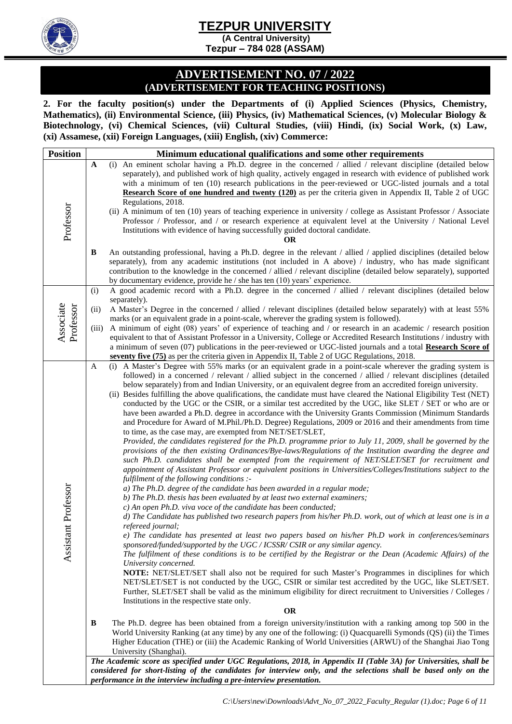

**(A Central University) Tezpur – 784 028 (ASSAM)** 

#### **ADVERTISEMENT NO. 07 / 2022 (ADVERTISEMENT FOR TEACHING POSITIONS)**

**2. For the faculty position(s) under the Departments of (i) Applied Sciences (Physics, Chemistry, Mathematics), (ii) Environmental Science, (iii) Physics, (iv) Mathematical Sciences, (v) Molecular Biology & Biotechnology, (vi) Chemical Sciences, (vii) Cultural Studies, (viii) Hindi, (ix) Social Work, (x) Law, (xi) Assamese, (xii) Foreign Languages, (xiii) English, (xiv) Commerce:** 

| <b>Position</b>        |                      | Minimum educational qualifications and some other requirements                                                                                                                                                                                                                                                                                                                                                                                                                                                                                                                                                                                                                                                                                                                                                                                                                                                                                                                                                                                                                                                                                                                                                                                                                                                                                                                                                                                                                                                                                                                                                                                                                                                                                                                                                                                                                                                                                                                                                                                                                                                                                                                                                                                                                                                                                                                                                                                                              |
|------------------------|----------------------|-----------------------------------------------------------------------------------------------------------------------------------------------------------------------------------------------------------------------------------------------------------------------------------------------------------------------------------------------------------------------------------------------------------------------------------------------------------------------------------------------------------------------------------------------------------------------------------------------------------------------------------------------------------------------------------------------------------------------------------------------------------------------------------------------------------------------------------------------------------------------------------------------------------------------------------------------------------------------------------------------------------------------------------------------------------------------------------------------------------------------------------------------------------------------------------------------------------------------------------------------------------------------------------------------------------------------------------------------------------------------------------------------------------------------------------------------------------------------------------------------------------------------------------------------------------------------------------------------------------------------------------------------------------------------------------------------------------------------------------------------------------------------------------------------------------------------------------------------------------------------------------------------------------------------------------------------------------------------------------------------------------------------------------------------------------------------------------------------------------------------------------------------------------------------------------------------------------------------------------------------------------------------------------------------------------------------------------------------------------------------------------------------------------------------------------------------------------------------------|
|                        | $\boldsymbol{\rm A}$ | (i) An eminent scholar having a Ph.D. degree in the concerned / allied / relevant discipline (detailed below<br>separately), and published work of high quality, actively engaged in research with evidence of published work<br>with a minimum of ten (10) research publications in the peer-reviewed or UGC-listed journals and a total<br><b>Research Score of one hundred and twenty (120)</b> as per the criteria given in Appendix II, Table 2 of UGC<br>Regulations, 2018.                                                                                                                                                                                                                                                                                                                                                                                                                                                                                                                                                                                                                                                                                                                                                                                                                                                                                                                                                                                                                                                                                                                                                                                                                                                                                                                                                                                                                                                                                                                                                                                                                                                                                                                                                                                                                                                                                                                                                                                           |
| Professor              |                      | (ii) A minimum of ten (10) years of teaching experience in university / college as Assistant Professor / Associate<br>Professor / Professor, and / or research experience at equivalent level at the University / National Level<br>Institutions with evidence of having successfully guided doctoral candidate.<br><b>OR</b>                                                                                                                                                                                                                                                                                                                                                                                                                                                                                                                                                                                                                                                                                                                                                                                                                                                                                                                                                                                                                                                                                                                                                                                                                                                                                                                                                                                                                                                                                                                                                                                                                                                                                                                                                                                                                                                                                                                                                                                                                                                                                                                                               |
|                        | B                    | An outstanding professional, having a Ph.D. degree in the relevant / allied / applied disciplines (detailed below<br>separately), from any academic institutions (not included in A above) / industry, who has made significant<br>contribution to the knowledge in the concerned / allied / relevant discipline (detailed below separately), supported<br>by documentary evidence, provide he $/$ she has ten $(10)$ years' experience.                                                                                                                                                                                                                                                                                                                                                                                                                                                                                                                                                                                                                                                                                                                                                                                                                                                                                                                                                                                                                                                                                                                                                                                                                                                                                                                                                                                                                                                                                                                                                                                                                                                                                                                                                                                                                                                                                                                                                                                                                                    |
|                        | (i)                  | A good academic record with a Ph.D. degree in the concerned / allied / relevant disciplines (detailed below                                                                                                                                                                                                                                                                                                                                                                                                                                                                                                                                                                                                                                                                                                                                                                                                                                                                                                                                                                                                                                                                                                                                                                                                                                                                                                                                                                                                                                                                                                                                                                                                                                                                                                                                                                                                                                                                                                                                                                                                                                                                                                                                                                                                                                                                                                                                                                 |
| Associate<br>Professor | (ii)<br>(iii)        | separately).<br>A Master's Degree in the concerned / allied / relevant disciplines (detailed below separately) with at least 55%<br>marks (or an equivalent grade in a point-scale, wherever the grading system is followed).<br>A minimum of eight (08) years' of experience of teaching and / or research in an academic / research position<br>equivalent to that of Assistant Professor in a University, College or Accredited Research Institutions / industry with<br>a minimum of seven (07) publications in the peer-reviewed or UGC-listed journals and a total Research Score of<br>seventy five (75) as per the criteria given in Appendix II, Table 2 of UGC Regulations, 2018.                                                                                                                                                                                                                                                                                                                                                                                                                                                                                                                                                                                                                                                                                                                                                                                                                                                                                                                                                                                                                                                                                                                                                                                                                                                                                                                                                                                                                                                                                                                                                                                                                                                                                                                                                                                 |
| Assistant Professor    | A                    | (i) A Master's Degree with 55% marks (or an equivalent grade in a point-scale wherever the grading system is<br>followed) in a concerned / relevant / allied subject in the concerned / allied / relevant disciplines (detailed<br>below separately) from and Indian University, or an equivalent degree from an accredited foreign university.<br>(ii) Besides fulfilling the above qualifications, the candidate must have cleared the National Eligibility Test (NET)<br>conducted by the UGC or the CSIR, or a similar test accredited by the UGC, like SLET / SET or who are or<br>have been awarded a Ph.D. degree in accordance with the University Grants Commission (Minimum Standards<br>and Procedure for Award of M.Phil./Ph.D. Degree) Regulations, 2009 or 2016 and their amendments from time<br>to time, as the case may, are exempted from NET/SET/SLET,<br>Provided, the candidates registered for the Ph.D. programme prior to July 11, 2009, shall be governed by the<br>provisions of the then existing Ordinances/Bye-laws/Regulations of the Institution awarding the degree and<br>such Ph.D. candidates shall be exempted from the requirement of NET/SLET/SET for recruitment and<br>appointment of Assistant Professor or equivalent positions in Universities/Colleges/Institutions subject to the<br>fulfilment of the following conditions :-<br>a) The Ph.D. degree of the candidate has been awarded in a regular mode;<br>b) The Ph.D. thesis has been evaluated by at least two external examiners;<br>c) An open Ph.D. viva voce of the candidate has been conducted;<br>d) The Candidate has published two research papers from his/her Ph.D. work, out of which at least one is in a<br>refereed journal;<br>e) The candidate has presented at least two papers based on his/her Ph.D work in conferences/seminars<br>sponsored/funded/supported by the UGC / ICSSR/ CSIR or any similar agency.<br>The fulfilment of these conditions is to be certified by the Registrar or the Dean (Academic Affairs) of the<br>University concerned.<br>NOTE: NET/SLET/SET shall also not be required for such Master's Programmes in disciplines for which<br>NET/SLET/SET is not conducted by the UGC, CSIR or similar test accredited by the UGC, like SLET/SET.<br>Further, SLET/SET shall be valid as the minimum eligibility for direct recruitment to Universities / Colleges /<br>Institutions in the respective state only.<br><b>OR</b> |
|                        | B                    | The Ph.D. degree has been obtained from a foreign university/institution with a ranking among top 500 in the<br>World University Ranking (at any time) by any one of the following: (i) Quacquarelli Symonds (QS) (ii) the Times<br>Higher Education (THE) or (iii) the Academic Ranking of World Universities (ARWU) of the Shanghai Jiao Tong<br>University (Shanghai).                                                                                                                                                                                                                                                                                                                                                                                                                                                                                                                                                                                                                                                                                                                                                                                                                                                                                                                                                                                                                                                                                                                                                                                                                                                                                                                                                                                                                                                                                                                                                                                                                                                                                                                                                                                                                                                                                                                                                                                                                                                                                                   |
|                        |                      | The Academic score as specified under UGC Regulations, 2018, in Appendix II (Table 3A) for Universities, shall be<br>considered for short-listing of the candidates for interview only, and the selections shall be based only on the<br>performance in the interview including a pre-interview presentation.                                                                                                                                                                                                                                                                                                                                                                                                                                                                                                                                                                                                                                                                                                                                                                                                                                                                                                                                                                                                                                                                                                                                                                                                                                                                                                                                                                                                                                                                                                                                                                                                                                                                                                                                                                                                                                                                                                                                                                                                                                                                                                                                                               |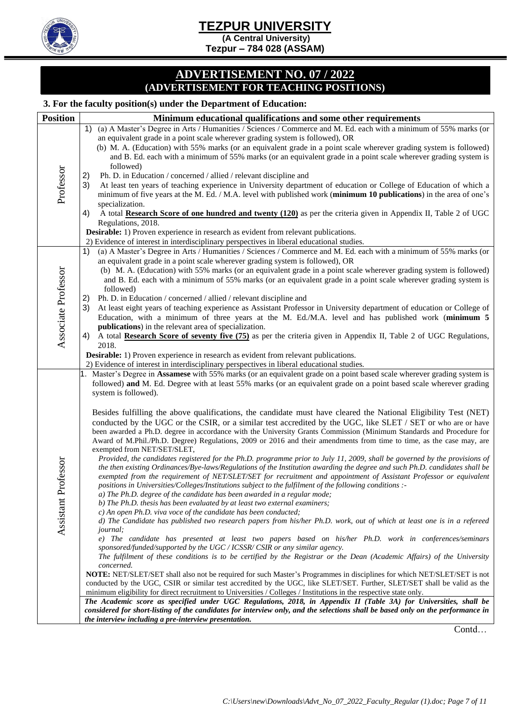**(A Central University) Tezpur – 784 028 (ASSAM)** 

#### **ADVERTISEMENT NO. 07 / 2022 (ADVERTISEMENT FOR TEACHING POSITIONS)**

#### **3. For the faculty position(s) under the Department of Education:**

| <b>Position</b>     | $\alpha$ , i or the neury position(s) under the Department of Budeauon<br>Minimum educational qualifications and some other requirements                                                                                                        |
|---------------------|-------------------------------------------------------------------------------------------------------------------------------------------------------------------------------------------------------------------------------------------------|
|                     | 1) (a) A Master's Degree in Arts / Humanities / Sciences / Commerce and M. Ed. each with a minimum of 55% marks (or                                                                                                                             |
|                     | an equivalent grade in a point scale wherever grading system is followed), OR                                                                                                                                                                   |
|                     | (b) M. A. (Education) with 55% marks (or an equivalent grade in a point scale wherever grading system is followed)                                                                                                                              |
|                     | and B. Ed. each with a minimum of 55% marks (or an equivalent grade in a point scale wherever grading system is                                                                                                                                 |
|                     | followed)                                                                                                                                                                                                                                       |
| Professor           | 2)<br>Ph. D. in Education / concerned / allied / relevant discipline and                                                                                                                                                                        |
|                     | At least ten years of teaching experience in University department of education or College of Education of which a<br>3)<br>minimum of five years at the M. Ed. / M.A. level with published work (minimum 10 publications) in the area of one's |
|                     | specialization.                                                                                                                                                                                                                                 |
|                     | A total Research Score of one hundred and twenty (120) as per the criteria given in Appendix II, Table 2 of UGC<br>4)                                                                                                                           |
|                     | Regulations, 2018.                                                                                                                                                                                                                              |
|                     | <b>Desirable:</b> 1) Proven experience in research as evident from relevant publications.                                                                                                                                                       |
|                     | 2) Evidence of interest in interdisciplinary perspectives in liberal educational studies.                                                                                                                                                       |
|                     | 1)<br>(a) A Master's Degree in Arts / Humanities / Sciences / Commerce and M. Ed. each with a minimum of 55% marks (or<br>an equivalent grade in a point scale wherever grading system is followed), OR                                         |
|                     | (b) M. A. (Education) with 55% marks (or an equivalent grade in a point scale wherever grading system is followed)                                                                                                                              |
|                     | and B. Ed. each with a minimum of 55% marks (or an equivalent grade in a point scale wherever grading system is                                                                                                                                 |
|                     | followed)                                                                                                                                                                                                                                       |
|                     | 2)<br>Ph. D. in Education / concerned / allied / relevant discipline and                                                                                                                                                                        |
|                     | At least eight years of teaching experience as Assistant Professor in University department of education or College of<br>3)                                                                                                                    |
|                     | Education, with a minimum of three years at the M. Ed./M.A. level and has published work (minimum 5<br>publications) in the relevant area of specialization.                                                                                    |
| Associate Professor | A total Research Score of seventy five (75) as per the criteria given in Appendix II, Table 2 of UGC Regulations,<br>4)                                                                                                                         |
|                     | 2018.                                                                                                                                                                                                                                           |
|                     | <b>Desirable:</b> 1) Proven experience in research as evident from relevant publications.                                                                                                                                                       |
|                     | 2) Evidence of interest in interdisciplinary perspectives in liberal educational studies.<br>1. Master's Degree in Assamese with 55% marks (or an equivalent grade on a point based scale wherever grading system is                            |
|                     | followed) and M. Ed. Degree with at least 55% marks (or an equivalent grade on a point based scale wherever grading                                                                                                                             |
|                     | system is followed).                                                                                                                                                                                                                            |
|                     |                                                                                                                                                                                                                                                 |
|                     | Besides fulfilling the above qualifications, the candidate must have cleared the National Eligibility Test (NET)                                                                                                                                |
|                     | conducted by the UGC or the CSIR, or a similar test accredited by the UGC, like SLET / SET or who are or have<br>been awarded a Ph.D. degree in accordance with the University Grants Commission (Minimum Standards and Procedure for           |
|                     | Award of M.Phil./Ph.D. Degree) Regulations, 2009 or 2016 and their amendments from time to time, as the case may, are                                                                                                                           |
|                     | exempted from NET/SET/SLET,                                                                                                                                                                                                                     |
|                     | Provided, the candidates registered for the Ph.D. programme prior to July 11, 2009, shall be governed by the provisions of                                                                                                                      |
|                     | the then existing Ordinances/Bye-laws/Regulations of the Institution awarding the degree and such Ph.D. candidates shall be                                                                                                                     |
|                     | exempted from the requirement of NET/SLET/SET for recruitment and appointment of Assistant Professor or equivalent<br>positions in Universities/Colleges/Institutions subject to the fulfilment of the following conditions :-                  |
|                     | a) The Ph.D. degree of the candidate has been awarded in a regular mode;                                                                                                                                                                        |
|                     | b) The Ph.D. thesis has been evaluated by at least two external examiners;                                                                                                                                                                      |
|                     | c) An open Ph.D. viva voce of the candidate has been conducted;                                                                                                                                                                                 |
| Assistant Professor | d) The Candidate has published two research papers from his/her Ph.D. work, out of which at least one is in a refereed<br><i>journal</i> ;                                                                                                      |
|                     | e) The candidate has presented at least two papers based on his/her Ph.D. work in conferences/seminars                                                                                                                                          |
|                     | sponsored/funded/supported by the UGC / ICSSR/ CSIR or any similar agency.                                                                                                                                                                      |
|                     | The fulfilment of these conditions is to be certified by the Registrar or the Dean (Academic Affairs) of the University                                                                                                                         |
|                     | concerned.<br>NOTE: NET/SLET/SET shall also not be required for such Master's Programmes in disciplines for which NET/SLET/SET is not                                                                                                           |
|                     | conducted by the UGC, CSIR or similar test accredited by the UGC, like SLET/SET. Further, SLET/SET shall be valid as the                                                                                                                        |
|                     | minimum eligibility for direct recruitment to Universities / Colleges / Institutions in the respective state only.                                                                                                                              |
|                     | The Academic score as specified under UGC Regulations, 2018, in Appendix II (Table 3A) for Universities, shall be                                                                                                                               |
|                     | considered for short-listing of the candidates for interview only, and the selections shall be based only on the performance in<br>the interview including a pre-interview presentation.                                                        |
|                     |                                                                                                                                                                                                                                                 |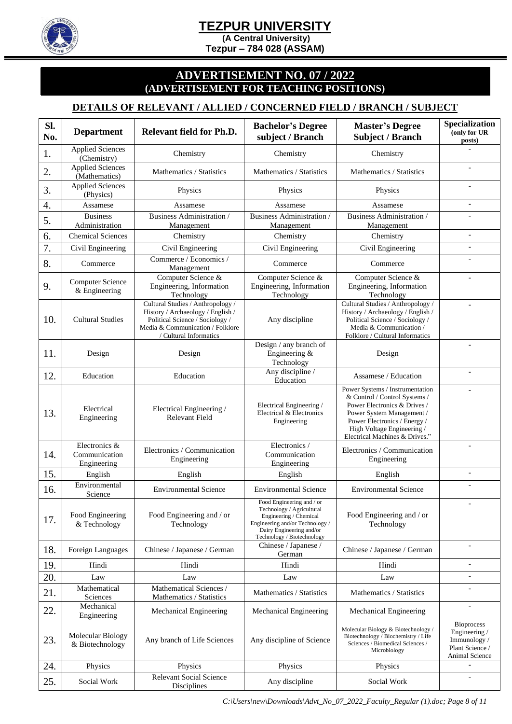**(A Central University)** 

**Tezpur – 784 028 (ASSAM)** 

#### **ADVERTISEMENT NO. 07 / 2022 (ADVERTISEMENT FOR TEACHING POSITIONS)**

#### **DETAILS OF RELEVANT / ALLIED / CONCERNED FIELD / BRANCH / SUBJECT**

| Sl.<br>No. | <b>Department</b>                             | Relevant field for Ph.D.                                                                                                                                                | <b>Bachelor's Degree</b><br>subject / Branch                                                                                                                                  | <b>Master's Degree</b><br><b>Subject / Branch</b>                                                                                                                                                                             | Specialization<br>(only for UR<br>posts)                                                |
|------------|-----------------------------------------------|-------------------------------------------------------------------------------------------------------------------------------------------------------------------------|-------------------------------------------------------------------------------------------------------------------------------------------------------------------------------|-------------------------------------------------------------------------------------------------------------------------------------------------------------------------------------------------------------------------------|-----------------------------------------------------------------------------------------|
| 1.         | <b>Applied Sciences</b><br>(Chemistry)        | Chemistry                                                                                                                                                               | Chemistry                                                                                                                                                                     | Chemistry                                                                                                                                                                                                                     |                                                                                         |
| 2.         | <b>Applied Sciences</b><br>(Mathematics)      | Mathematics / Statistics                                                                                                                                                | Mathematics / Statistics                                                                                                                                                      | Mathematics / Statistics                                                                                                                                                                                                      |                                                                                         |
| 3.         | <b>Applied Sciences</b><br>(Physics)          | Physics                                                                                                                                                                 | Physics                                                                                                                                                                       | Physics                                                                                                                                                                                                                       |                                                                                         |
| 4.         | Assamese                                      | Assamese                                                                                                                                                                | Assamese                                                                                                                                                                      | Assamese                                                                                                                                                                                                                      |                                                                                         |
| 5.         | <b>Business</b><br>Administration             | Business Administration /<br>Management                                                                                                                                 | Business Administration /<br>Management                                                                                                                                       | <b>Business Administration</b> /<br>Management                                                                                                                                                                                |                                                                                         |
| 6.         | <b>Chemical Sciences</b>                      | Chemistry                                                                                                                                                               | Chemistry                                                                                                                                                                     | Chemistry                                                                                                                                                                                                                     |                                                                                         |
| 7.         | Civil Engineering                             | Civil Engineering                                                                                                                                                       | Civil Engineering                                                                                                                                                             | Civil Engineering                                                                                                                                                                                                             | $\overline{\phantom{a}}$                                                                |
| 8.         | Commerce                                      | Commerce / Economics /<br>Management                                                                                                                                    | Commerce                                                                                                                                                                      | Commerce                                                                                                                                                                                                                      |                                                                                         |
| 9.         | <b>Computer Science</b><br>& Engineering      | Computer Science &<br>Engineering, Information<br>Technology                                                                                                            | Computer Science &<br>Engineering, Information<br>Technology                                                                                                                  | Computer Science &<br>Engineering, Information<br>Technology                                                                                                                                                                  |                                                                                         |
| 10.        | <b>Cultural Studies</b>                       | Cultural Studies / Anthropology /<br>History / Archaeology / English /<br>Political Science / Sociology /<br>Media & Communication / Folklore<br>/ Cultural Informatics | Any discipline                                                                                                                                                                | Cultural Studies / Anthropology /<br>History / Archaeology / English /<br>Political Science / Sociology /<br>Media & Communication /<br>Folklore / Cultural Informatics                                                       |                                                                                         |
| 11.        | Design                                        | Design                                                                                                                                                                  | Design / any branch of<br>Engineering &<br>Technology                                                                                                                         | Design                                                                                                                                                                                                                        |                                                                                         |
| 12.        | Education                                     | Education                                                                                                                                                               | Any discipline /<br>Education                                                                                                                                                 | Assamese / Education                                                                                                                                                                                                          |                                                                                         |
| 13.        | Electrical<br>Engineering                     | Electrical Engineering /<br><b>Relevant Field</b>                                                                                                                       | Electrical Engineering /<br>Electrical & Electronics<br>Engineering                                                                                                           | Power Systems / Instrumentation<br>& Control / Control Systems /<br>Power Electronics & Drives /<br>Power System Management /<br>Power Electronics / Energy /<br>High Voltage Engineering /<br>Electrical Machines & Drives." |                                                                                         |
| 14.        | Electronics &<br>Communication<br>Engineering | Electronics / Communication<br>Engineering                                                                                                                              | Electronics /<br>Communication<br>Engineering                                                                                                                                 | Electronics / Communication<br>Engineering                                                                                                                                                                                    |                                                                                         |
| 15.        | English                                       | English                                                                                                                                                                 | English                                                                                                                                                                       | English                                                                                                                                                                                                                       |                                                                                         |
| 16.        | Environmental<br>Science                      | <b>Environmental Science</b>                                                                                                                                            | <b>Environmental Science</b>                                                                                                                                                  | <b>Environmental Science</b>                                                                                                                                                                                                  |                                                                                         |
| 17.        | Food Engineering<br>& Technology              | Food Engineering and / or<br>Technology                                                                                                                                 | Food Engineering and / or<br>Technology / Agricultural<br>Engineering / Chemical<br>Engineering and/or Technology /<br>Dairy Engineering and/or<br>Technology / Biotechnology | Food Engineering and / or<br>Technology                                                                                                                                                                                       |                                                                                         |
| 18.        | Foreign Languages                             | Chinese / Japanese / German                                                                                                                                             | Chinese / Japanese /<br>German                                                                                                                                                | Chinese / Japanese / German                                                                                                                                                                                                   |                                                                                         |
| 19.        | Hindi                                         | Hindi                                                                                                                                                                   | Hindi                                                                                                                                                                         | Hindi                                                                                                                                                                                                                         |                                                                                         |
| 20.        | Law                                           | Law                                                                                                                                                                     | Law                                                                                                                                                                           | Law                                                                                                                                                                                                                           | $\equiv$                                                                                |
| 21.        | Mathematical<br>Sciences                      | Mathematical Sciences /<br>Mathematics / Statistics                                                                                                                     | Mathematics / Statistics                                                                                                                                                      | Mathematics / Statistics                                                                                                                                                                                                      |                                                                                         |
| 22.        | Mechanical<br>Engineering                     | Mechanical Engineering                                                                                                                                                  | Mechanical Engineering                                                                                                                                                        | Mechanical Engineering                                                                                                                                                                                                        |                                                                                         |
| 23.        | Molecular Biology<br>& Biotechnology          | Any branch of Life Sciences                                                                                                                                             | Any discipline of Science                                                                                                                                                     | Molecular Biology & Biotechnology /<br>Biotechnology / Biochemistry / Life<br>Sciences / Biomedical Sciences /<br>Microbiology                                                                                                | <b>Bioprocess</b><br>Engineering /<br>Immunology /<br>Plant Science /<br>Animal Science |
| 24.        | Physics                                       | Physics                                                                                                                                                                 | Physics                                                                                                                                                                       | Physics                                                                                                                                                                                                                       | $\overline{\phantom{a}}$                                                                |
| 25.        | Social Work                                   | <b>Relevant Social Science</b><br>Disciplines                                                                                                                           | Any discipline                                                                                                                                                                | Social Work                                                                                                                                                                                                                   | $\overline{\phantom{a}}$                                                                |

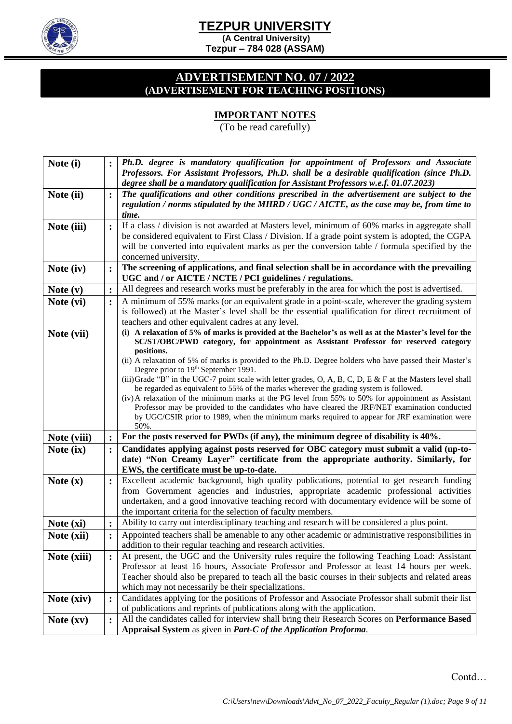

**(A Central University) Tezpur – 784 028 (ASSAM)** 

#### **ADVERTISEMENT NO. 07 / 2022 (ADVERTISEMENT FOR TEACHING POSITIONS)**

### **IMPORTANT NOTES**

(To be read carefully)

| Note (i)    |                | Ph.D. degree is mandatory qualification for appointment of Professors and Associate                                                                                                                   |
|-------------|----------------|-------------------------------------------------------------------------------------------------------------------------------------------------------------------------------------------------------|
|             |                | Professors. For Assistant Professors, Ph.D. shall be a desirable qualification (since Ph.D.                                                                                                           |
|             | $\ddot{\cdot}$ | degree shall be a mandatory qualification for Assistant Professors w.e.f. 01.07.2023)<br>The qualifications and other conditions prescribed in the advertisement are subject to the                   |
| Note (ii)   |                | regulation / norms stipulated by the MHRD / UGC / AICTE, as the case may be, from time to                                                                                                             |
|             |                | time.                                                                                                                                                                                                 |
| Note (iii)  | $\ddot{\cdot}$ | If a class / division is not awarded at Masters level, minimum of 60% marks in aggregate shall                                                                                                        |
|             |                | be considered equivalent to First Class / Division. If a grade point system is adopted, the CGPA                                                                                                      |
|             |                | will be converted into equivalent marks as per the conversion table / formula specified by the                                                                                                        |
|             |                | concerned university.                                                                                                                                                                                 |
| Note (iv)   | $\ddot{\cdot}$ | The screening of applications, and final selection shall be in accordance with the prevailing<br>UGC and / or AICTE / NCTE / PCI guidelines / regulations.                                            |
| Note $(v)$  | $\ddot{\cdot}$ | All degrees and research works must be preferably in the area for which the post is advertised.                                                                                                       |
| Note (vi)   | $\ddot{\cdot}$ | A minimum of 55% marks (or an equivalent grade in a point-scale, wherever the grading system                                                                                                          |
|             |                | is followed) at the Master's level shall be the essential qualification for direct recruitment of                                                                                                     |
|             |                | teachers and other equivalent cadres at any level.                                                                                                                                                    |
| Note (vii)  |                | (i) A relaxation of 5% of marks is provided at the Bachelor's as well as at the Master's level for the                                                                                                |
|             |                | SC/ST/OBC/PWD category, for appointment as Assistant Professor for reserved category<br>positions.                                                                                                    |
|             |                | (ii) A relaxation of 5% of marks is provided to the Ph.D. Degree holders who have passed their Master's                                                                                               |
|             |                | Degree prior to 19th September 1991.                                                                                                                                                                  |
|             |                | (iii) Grade "B" in the UGC-7 point scale with letter grades, O, A, B, C, D, E & F at the Masters level shall                                                                                          |
|             |                | be regarded as equivalent to 55% of the marks wherever the grading system is followed.                                                                                                                |
|             |                | (iv) A relaxation of the minimum marks at the PG level from 55% to 50% for appointment as Assistant<br>Professor may be provided to the candidates who have cleared the JRF/NET examination conducted |
|             |                | by UGC/CSIR prior to 1989, when the minimum marks required to appear for JRF examination were                                                                                                         |
|             |                | 50%.                                                                                                                                                                                                  |
| Note (viii) | $\ddot{\cdot}$ | For the posts reserved for PWDs (if any), the minimum degree of disability is 40%.                                                                                                                    |
| Note (ix)   | $\ddot{\cdot}$ | Candidates applying against posts reserved for OBC category must submit a valid (up-to-                                                                                                               |
|             |                | date) "Non Creamy Layer" certificate from the appropriate authority. Similarly, for                                                                                                                   |
|             |                | EWS, the certificate must be up-to-date.<br>Excellent academic background, high quality publications, potential to get research funding                                                               |
| Note $(x)$  | $\ddot{\cdot}$ | from Government agencies and industries, appropriate academic professional activities                                                                                                                 |
|             |                | undertaken, and a good innovative teaching record with documentary evidence will be some of                                                                                                           |
|             |                | the important criteria for the selection of faculty members.                                                                                                                                          |
| Note (xi)   | $\ddot{\cdot}$ | Ability to carry out interdisciplinary teaching and research will be considered a plus point.                                                                                                         |
| Note (xii)  | $\ddot{\cdot}$ | Appointed teachers shall be amenable to any other academic or administrative responsibilities in                                                                                                      |
|             |                | addition to their regular teaching and research activities.                                                                                                                                           |
| Note (xiii) | $\ddot{\cdot}$ | At present, the UGC and the University rules require the following Teaching Load: Assistant                                                                                                           |
|             |                | Professor at least 16 hours, Associate Professor and Professor at least 14 hours per week.                                                                                                            |
|             |                | Teacher should also be prepared to teach all the basic courses in their subjects and related areas                                                                                                    |
|             |                | which may not necessarily be their specializations.<br>Candidates applying for the positions of Professor and Associate Professor shall submit their list                                             |
| Note (xiv)  | $\ddot{\cdot}$ | of publications and reprints of publications along with the application.                                                                                                                              |
| Note $(xv)$ | $\ddot{\cdot}$ | All the candidates called for interview shall bring their Research Scores on Performance Based                                                                                                        |
|             |                | Appraisal System as given in <i>Part-C of the Application Proforma</i> .                                                                                                                              |
|             |                |                                                                                                                                                                                                       |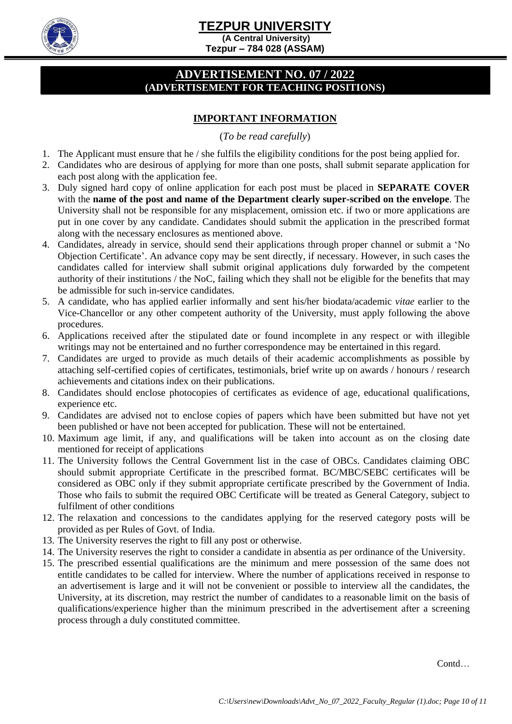**(A Central University) Tezpur – 784 028 (ASSAM)** 

### **ADVERTISEMENT NO. 07 / 2022 (ADVERTISEMENT FOR TEACHING POSITIONS)**

### **IMPORTANT INFORMATION**

#### (*To be read carefully*)

- 1. The Applicant must ensure that he / she fulfils the eligibility conditions for the post being applied for.
- 2. Candidates who are desirous of applying for more than one posts, shall submit separate application for each post along with the application fee.
- 3. Duly signed hard copy of online application for each post must be placed in **SEPARATE COVER** with the **name of the post and name of the Department clearly super-scribed on the envelope**. The University shall not be responsible for any misplacement, omission etc. if two or more applications are put in one cover by any candidate. Candidates should submit the application in the prescribed format along with the necessary enclosures as mentioned above.
- 4. Candidates, already in service, should send their applications through proper channel or submit a 'No Objection Certificate'. An advance copy may be sent directly, if necessary. However, in such cases the candidates called for interview shall submit original applications duly forwarded by the competent authority of their institutions / the NoC, failing which they shall not be eligible for the benefits that may be admissible for such in-service candidates.
- 5. A candidate, who has applied earlier informally and sent his/her biodata/academic *vitae* earlier to the Vice-Chancellor or any other competent authority of the University, must apply following the above procedures.
- 6. Applications received after the stipulated date or found incomplete in any respect or with illegible writings may not be entertained and no further correspondence may be entertained in this regard.
- 7. Candidates are urged to provide as much details of their academic accomplishments as possible by attaching self-certified copies of certificates, testimonials, brief write up on awards / honours / research achievements and citations index on their publications.
- 8. Candidates should enclose photocopies of certificates as evidence of age, educational qualifications, experience etc.
- 9. Candidates are advised not to enclose copies of papers which have been submitted but have not yet been published or have not been accepted for publication. These will not be entertained.
- 10. Maximum age limit, if any, and qualifications will be taken into account as on the closing date mentioned for receipt of applications
- 11. The University follows the Central Government list in the case of OBCs. Candidates claiming OBC should submit appropriate Certificate in the prescribed format. BC/MBC/SEBC certificates will be considered as OBC only if they submit appropriate certificate prescribed by the Government of India. Those who fails to submit the required OBC Certificate will be treated as General Category, subject to fulfilment of other conditions
- 12. The relaxation and concessions to the candidates applying for the reserved category posts will be provided as per Rules of Govt. of India.
- 13. The University reserves the right to fill any post or otherwise.
- 14. The University reserves the right to consider a candidate in absentia as per ordinance of the University.
- 15. The prescribed essential qualifications are the minimum and mere possession of the same does not entitle candidates to be called for interview. Where the number of applications received in response to an advertisement is large and it will not be convenient or possible to interview all the candidates, the University, at its discretion, may restrict the number of candidates to a reasonable limit on the basis of qualifications/experience higher than the minimum prescribed in the advertisement after a screening process through a duly constituted committee.